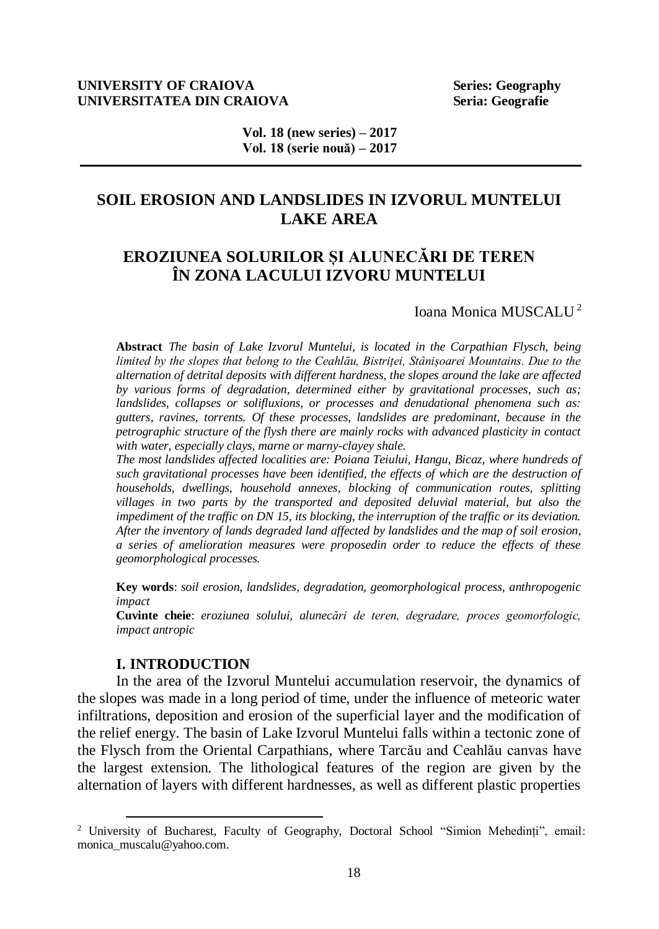# **UNIVERSITY OF CRAIOVA** Series: Geography **UNIVERSITATEA DIN CRAIOVA** Seria: Geografie

**Vol. 18 (new series) – 2017 Vol. 18 (serie nouă) – 2017**

# **SOIL EROSION AND LANDSLIDES IN IZVORUL MUNTELUI LAKE AREA**

# **EROZIUNEA SOLURILOR ȘI ALUNECĂRI DE TEREN ÎN ZONA LACULUI IZVORU MUNTELUI**

Ioana Monica MUSCALU <sup>2</sup>

**Abstract** *The basin of Lake Izvorul Muntelui, is located in the Carpathian Flysch, being limited by the slopes that belong to the Ceahlău, Bistriței, Stânișoarei Mountains. Due to the alternation of detrital deposits with different hardness, the slopes around the lake are affected by various forms of degradation, determined either by gravitational processes, such as; landslides, collapses or solifluxions, or processes and denudational phenomena such as: gutters, ravines, torrents. Of these processes, landslides are predominant, because in the petrographic structure of the flysh there are mainly rocks with advanced plasticity in contact with water, especially clays, marne or marny-clayey shale.*

*The most landslides affected localities are: Poiana Teiului, Hangu, Bicaz, where hundreds of such gravitational processes have been identified, the effects of which are the destruction of households, dwellings, household annexes, blocking of communication routes, splitting villages in two parts by the transported and deposited deluvial material, but also the impediment of the traffic on DN 15, its blocking, the interruption of the traffic or its deviation. After the inventory of lands degraded land affected by landslides and the map of soil erosion, a series of amelioration measures were proposedin order to reduce the effects of these geomorphological processes.* 

**Key words**: *soil erosion, landslides, degradation, geomorphological process, anthropogenic impact*

**Cuvinte cheie**: *eroziunea solului, alunecări de teren, degradare, proces geomorfologic, impact antropic*

# **I. INTRODUCTION**

 $\overline{a}$ 

In the area of the Izvorul Muntelui accumulation reservoir, the dynamics of the slopes was made in a long period of time, under the influence of meteoric water infiltrations, deposition and erosion of the superficial layer and the modification of the relief energy. The basin of Lake Izvorul Muntelui falls within a tectonic zone of the Flysch from the Oriental Carpathians, where Tarcău and Ceahlău canvas have the largest extension. The lithological features of the region are given by the alternation of layers with different hardnesses, as well as different plastic properties

<sup>2</sup> University of Bucharest, Faculty of Geography, Doctoral School "Simion Mehedinți", email: monica\_muscalu@yahoo.com.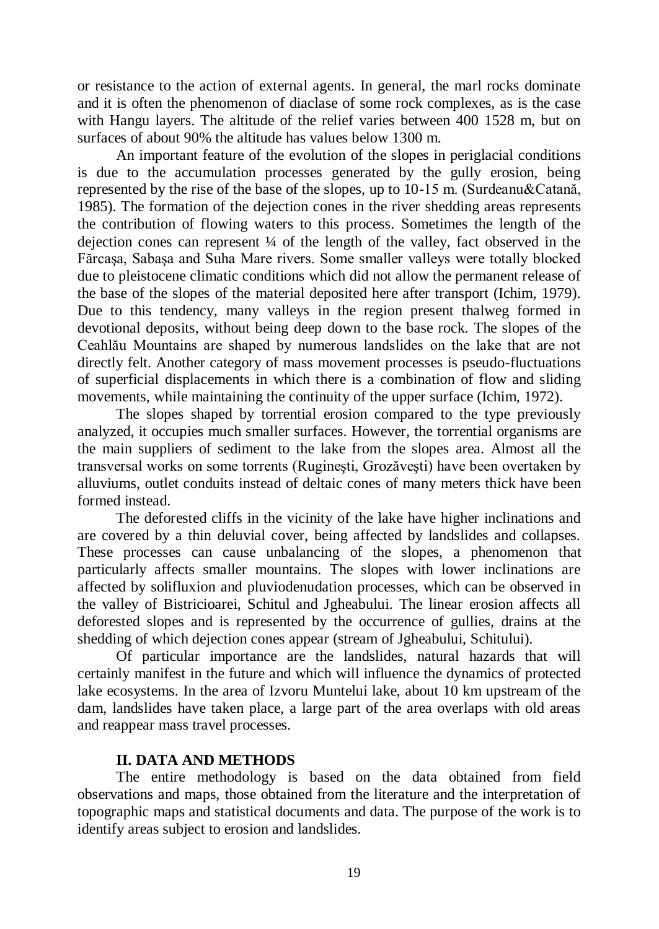or resistance to the action of external agents. In general, the marl rocks dominate and it is often the phenomenon of diaclase of some rock complexes, as is the case with Hangu layers. The altitude of the relief varies between 400 1528 m, but on surfaces of about 90% the altitude has values below 1300 m.

An important feature of the evolution of the slopes in periglacial conditions is due to the accumulation processes generated by the gully erosion, being represented by the rise of the base of the slopes, up to 10-15 m. (Surdeanu&Catană, 1985). The formation of the dejection cones in the river shedding areas represents the contribution of flowing waters to this process. Sometimes the length of the dejection cones can represent ¼ of the length of the valley, fact observed in the Fărcaşa, Sabaşa and Suha Mare rivers. Some smaller valleys were totally blocked due to pleistocene climatic conditions which did not allow the permanent release of the base of the slopes of the material deposited here after transport (Ichim, 1979). Due to this tendency, many valleys in the region present thalweg formed in devotional deposits, without being deep down to the base rock. The slopes of the Ceahlău Mountains are shaped by numerous landslides on the lake that are not directly felt. Another category of mass movement processes is pseudo-fluctuations of superficial displacements in which there is a combination of flow and sliding movements, while maintaining the continuity of the upper surface (Ichim, 1972).

The slopes shaped by torrential erosion compared to the type previously analyzed, it occupies much smaller surfaces. However, the torrential organisms are the main suppliers of sediment to the lake from the slopes area. Almost all the transversal works on some torrents (Rugineşti, Grozăveşti) have been overtaken by alluviums, outlet conduits instead of deltaic cones of many meters thick have been formed instead.

The deforested cliffs in the vicinity of the lake have higher inclinations and are covered by a thin deluvial cover, being affected by landslides and collapses. These processes can cause unbalancing of the slopes, a phenomenon that particularly affects smaller mountains. The slopes with lower inclinations are affected by solifluxion and pluviodenudation processes, which can be observed in the valley of Bistricioarei, Schitul and Jgheabului. The linear erosion affects all deforested slopes and is represented by the occurrence of gullies, drains at the shedding of which dejection cones appear (stream of Jgheabului, Schitului).

Of particular importance are the landslides, natural hazards that will certainly manifest in the future and which will influence the dynamics of protected lake ecosystems. In the area of Izvoru Muntelui lake, about 10 km upstream of the dam, landslides have taken place, a large part of the area overlaps with old areas and reappear mass travel processes.

# **II. DATA AND METHODS**

The entire methodology is based on the data obtained from field observations and maps, those obtained from the literature and the interpretation of topographic maps and statistical documents and data. The purpose of the work is to identify areas subject to erosion and landslides.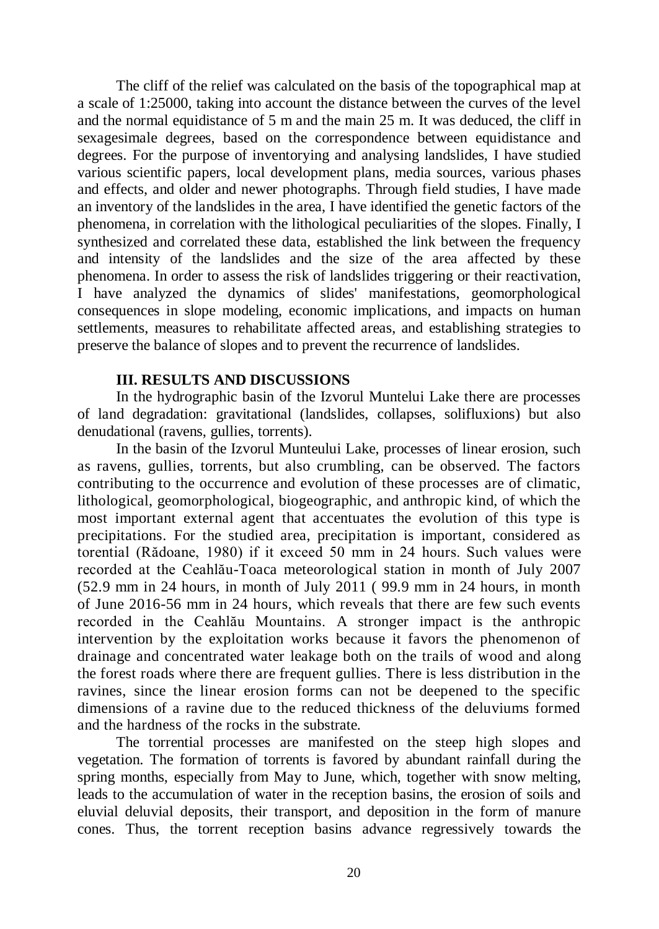The cliff of the relief was calculated on the basis of the topographical map at a scale of 1:25000, taking into account the distance between the curves of the level and the normal equidistance of 5 m and the main 25 m. It was deduced, the cliff in sexagesimale degrees, based on the correspondence between equidistance and degrees. For the purpose of inventorying and analysing landslides, I have studied various scientific papers, local development plans, media sources, various phases and effects, and older and newer photographs. Through field studies, I have made an inventory of the landslides in the area, I have identified the genetic factors of the phenomena, in correlation with the lithological peculiarities of the slopes. Finally, I synthesized and correlated these data, established the link between the frequency and intensity of the landslides and the size of the area affected by these phenomena. In order to assess the risk of landslides triggering or their reactivation, I have analyzed the dynamics of slides' manifestations, geomorphological consequences in slope modeling, economic implications, and impacts on human settlements, measures to rehabilitate affected areas, and establishing strategies to preserve the balance of slopes and to prevent the recurrence of landslides.

# **III. RESULTS AND DISCUSSIONS**

In the hydrographic basin of the Izvorul Muntelui Lake there are processes of land degradation: gravitational (landslides, collapses, solifluxions) but also denudational (ravens, gullies, torrents).

In the basin of the Izvorul Munteului Lake, processes of linear erosion, such as ravens, gullies, torrents, but also crumbling, can be observed. The factors contributing to the occurrence and evolution of these processes are of climatic, lithological, geomorphological, biogeographic, and anthropic kind, of which the most important external agent that accentuates the evolution of this type is precipitations. For the studied area, precipitation is important, considered as torential (Rădoane, 1980) if it exceed 50 mm in 24 hours. Such values were recorded at the Ceahlău-Toaca meteorological station in month of July 2007 (52.9 mm in 24 hours, in month of July 2011 ( 99.9 mm in 24 hours, in month of June 2016-56 mm in 24 hours, which reveals that there are few such events recorded in the Ceahlău Mountains. A stronger impact is the anthropic intervention by the exploitation works because it favors the phenomenon of drainage and concentrated water leakage both on the trails of wood and along the forest roads where there are frequent gullies. There is less distribution in the ravines, since the linear erosion forms can not be deepened to the specific dimensions of a ravine due to the reduced thickness of the deluviums formed and the hardness of the rocks in the substrate.

The torrential processes are manifested on the steep high slopes and vegetation. The formation of torrents is favored by abundant rainfall during the spring months, especially from May to June, which, together with snow melting, leads to the accumulation of water in the reception basins, the erosion of soils and eluvial deluvial deposits, their transport, and deposition in the form of manure cones. Thus, the torrent reception basins advance regressively towards the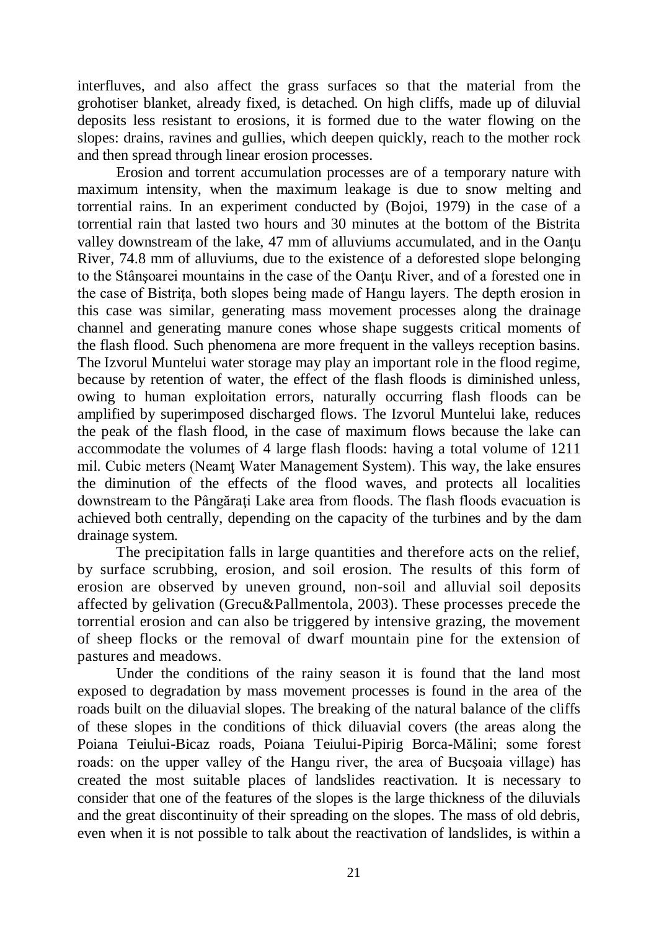interfluves, and also affect the grass surfaces so that the material from the grohotiser blanket, already fixed, is detached. On high cliffs, made up of diluvial deposits less resistant to erosions, it is formed due to the water flowing on the slopes: drains, ravines and gullies, which deepen quickly, reach to the mother rock and then spread through linear erosion processes.

Erosion and torrent accumulation processes are of a temporary nature with maximum intensity, when the maximum leakage is due to snow melting and torrential rains. In an experiment conducted by (Bojoi, 1979) in the case of a torrential rain that lasted two hours and 30 minutes at the bottom of the Bistrita valley downstream of the lake, 47 mm of alluviums accumulated, and in the Oantu River, 74.8 mm of alluviums, due to the existence of a deforested slope belonging to the Stânsoarei mountains in the case of the Oantu River, and of a forested one in the case of Bistrita, both slopes being made of Hangu layers. The depth erosion in this case was similar, generating mass movement processes along the drainage channel and generating manure cones whose shape suggests critical moments of the flash flood. Such phenomena are more frequent in the valleys reception basins. The Izvorul Muntelui water storage may play an important role in the flood regime, because by retention of water, the effect of the flash floods is diminished unless, owing to human exploitation errors, naturally occurring flash floods can be amplified by superimposed discharged flows. The Izvorul Muntelui lake, reduces the peak of the flash flood, in the case of maximum flows because the lake can accommodate the volumes of 4 large flash floods: having a total volume of 1211 mil. Cubic meters (Neamţ Water Management System). This way, the lake ensures the diminution of the effects of the flood waves, and protects all localities downstream to the Pângărati Lake area from floods. The flash floods evacuation is achieved both centrally, depending on the capacity of the turbines and by the dam drainage system.

The precipitation falls in large quantities and therefore acts on the relief, by surface scrubbing, erosion, and soil erosion. The results of this form of erosion are observed by uneven ground, non-soil and alluvial soil deposits affected by gelivation (Grecu&Pallmentola, 2003). These processes precede the torrential erosion and can also be triggered by intensive grazing, the movement of sheep flocks or the removal of dwarf mountain pine for the extension of pastures and meadows.

Under the conditions of the rainy season it is found that the land most exposed to degradation by mass movement processes is found in the area of the roads built on the diluavial slopes. The breaking of the natural balance of the cliffs of these slopes in the conditions of thick diluavial covers (the areas along the Poiana Teiului-Bicaz roads, Poiana Teiului-Pipirig Borca-Mălini; some forest roads: on the upper valley of the Hangu river, the area of Bucşoaia village) has created the most suitable places of landslides reactivation. It is necessary to consider that one of the features of the slopes is the large thickness of the diluvials and the great discontinuity of their spreading on the slopes. The mass of old debris, even when it is not possible to talk about the reactivation of landslides, is within a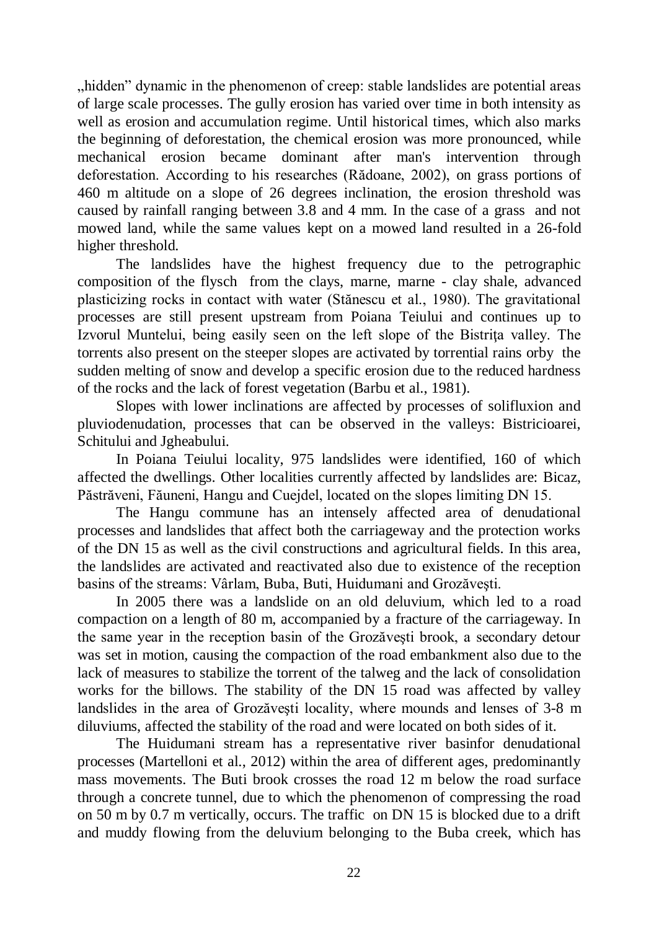"hidden" dynamic in the phenomenon of creep: stable landslides are potential areas of large scale processes. The gully erosion has varied over time in both intensity as well as erosion and accumulation regime. Until historical times, which also marks the beginning of deforestation, the chemical erosion was more pronounced, while mechanical erosion became dominant after man's intervention through deforestation. According to his researches (Rădoane, 2002), on grass portions of 460 m altitude on a slope of 26 degrees inclination, the erosion threshold was caused by rainfall ranging between 3.8 and 4 mm. In the case of a grass and not mowed land, while the same values kept on a mowed land resulted in a 26-fold higher threshold.

The landslides have the highest frequency due to the petrographic composition of the flysch from the clays, marne, marne - clay shale, advanced plasticizing rocks in contact with water (Stănescu et al., 1980). The gravitational processes are still present upstream from Poiana Teiului and continues up to Izvorul Muntelui, being easily seen on the left slope of the Bistriţa valley. The torrents also present on the steeper slopes are activated by torrential rains orby the sudden melting of snow and develop a specific erosion due to the reduced hardness of the rocks and the lack of forest vegetation (Barbu et al., 1981).

Slopes with lower inclinations are affected by processes of solifluxion and pluviodenudation, processes that can be observed in the valleys: Bistricioarei, Schitului and Jgheabului.

In Poiana Teiului locality, 975 landslides were identified, 160 of which affected the dwellings. Other localities currently affected by landslides are: Bicaz, Păstrăveni, Făuneni, Hangu and Cuejdel, located on the slopes limiting DN 15.

The Hangu commune has an intensely affected area of denudational processes and landslides that affect both the carriageway and the protection works of the DN 15 as well as the civil constructions and agricultural fields. In this area, the landslides are activated and reactivated also due to existence of the reception basins of the streams: Vârlam, Buba, Buti, Huidumani and Grozăveşti.

In 2005 there was a landslide on an old deluvium, which led to a road compaction on a length of 80 m, accompanied by a fracture of the carriageway. In the same year in the reception basin of the Grozăveşti brook, a secondary detour was set in motion, causing the compaction of the road embankment also due to the lack of measures to stabilize the torrent of the talweg and the lack of consolidation works for the billows. The stability of the DN 15 road was affected by valley landslides in the area of Grozăveşti locality, where mounds and lenses of 3-8 m diluviums, affected the stability of the road and were located on both sides of it.

The Huidumani stream has a representative river basinfor denudational processes (Martelloni et al., 2012) within the area of different ages, predominantly mass movements. The Buti brook crosses the road 12 m below the road surface through a concrete tunnel, due to which the phenomenon of compressing the road on 50 m by 0.7 m vertically, occurs. The traffic on DN 15 is blocked due to a drift and muddy flowing from the deluvium belonging to the Buba creek, which has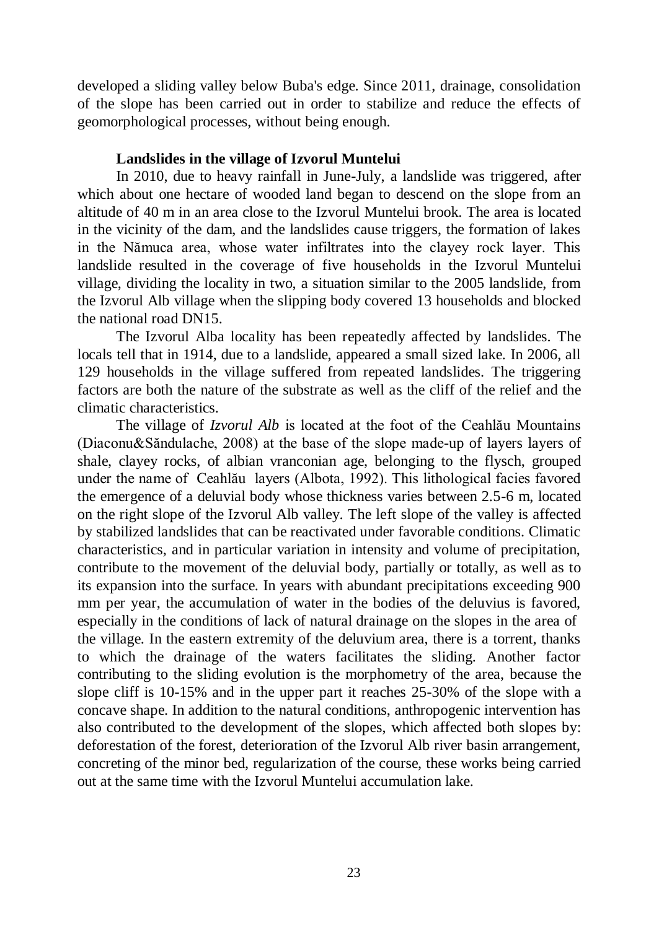developed a sliding valley below Buba's edge. Since 2011, drainage, consolidation of the slope has been carried out in order to stabilize and reduce the effects of geomorphological processes, without being enough.

# **Landslides in the village of Izvorul Muntelui**

In 2010, due to heavy rainfall in June-July, a landslide was triggered, after which about one hectare of wooded land began to descend on the slope from an altitude of 40 m in an area close to the Izvorul Muntelui brook. The area is located in the vicinity of the dam, and the landslides cause triggers, the formation of lakes in the Nămuca area, whose water infiltrates into the clayey rock layer. This landslide resulted in the coverage of five households in the Izvorul Muntelui village, dividing the locality in two, a situation similar to the 2005 landslide, from the Izvorul Alb village when the slipping body covered 13 households and blocked the national road DN15.

The Izvorul Alba locality has been repeatedly affected by landslides. The locals tell that in 1914, due to a landslide, appeared a small sized lake. In 2006, all 129 households in the village suffered from repeated landslides. The triggering factors are both the nature of the substrate as well as the cliff of the relief and the climatic characteristics.

The village of *Izvorul Alb* is located at the foot of the Ceahlău Mountains (Diaconu&Săndulache, 2008) at the base of the slope made-up of layers layers of shale, clayey rocks, of albian vranconian age, belonging to the flysch, grouped under the name of Ceahlău layers (Albota, 1992). This lithological facies favored the emergence of a deluvial body whose thickness varies between 2.5-6 m, located on the right slope of the Izvorul Alb valley. The left slope of the valley is affected by stabilized landslides that can be reactivated under favorable conditions. Climatic characteristics, and in particular variation in intensity and volume of precipitation, contribute to the movement of the deluvial body, partially or totally, as well as to its expansion into the surface. In years with abundant precipitations exceeding 900 mm per year, the accumulation of water in the bodies of the deluvius is favored, especially in the conditions of lack of natural drainage on the slopes in the area of the village. In the eastern extremity of the deluvium area, there is a torrent, thanks to which the drainage of the waters facilitates the sliding. Another factor contributing to the sliding evolution is the morphometry of the area, because the slope cliff is 10-15% and in the upper part it reaches 25-30% of the slope with a concave shape. In addition to the natural conditions, anthropogenic intervention has also contributed to the development of the slopes, which affected both slopes by: deforestation of the forest, deterioration of the Izvorul Alb river basin arrangement, concreting of the minor bed, regularization of the course, these works being carried out at the same time with the Izvorul Muntelui accumulation lake.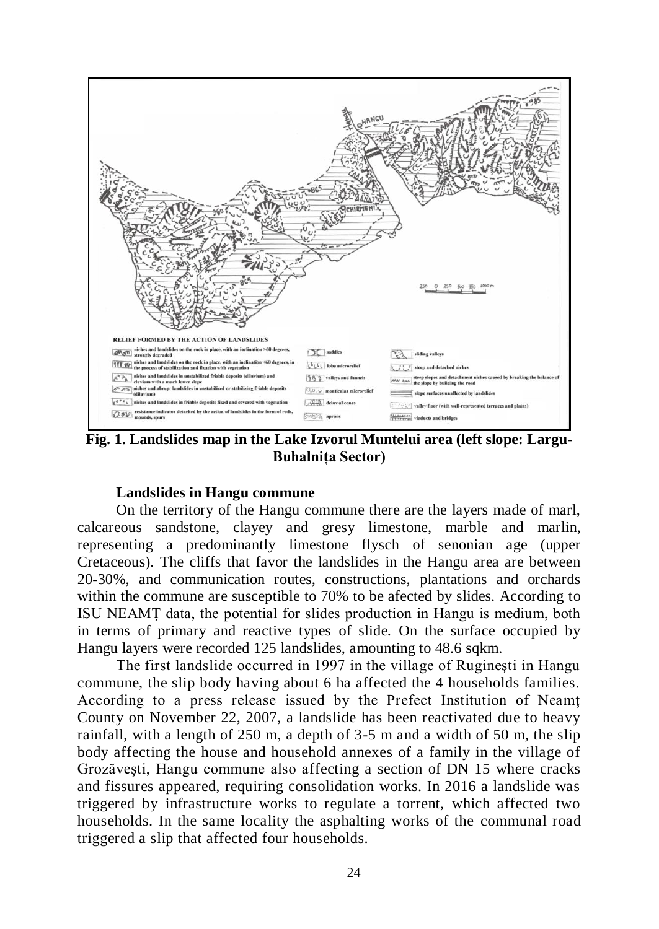

**Fig. 1. Landslides map in the Lake Izvorul Muntelui area (left slope: Largu-Buhalnița Sector)**

# **Landslides in Hangu commune**

On the territory of the Hangu commune there are the layers made of marl, calcareous sandstone, clayey and gresy limestone, marble and marlin, representing a predominantly limestone flysch of senonian age (upper Cretaceous). The cliffs that favor the landslides in the Hangu area are between 20-30%, and communication routes, constructions, plantations and orchards within the commune are susceptible to 70% to be afected by slides. According to ISU NEAMŢ data, the potential for slides production in Hangu is medium, both in terms of primary and reactive types of slide. On the surface occupied by Hangu layers were recorded 125 landslides, amounting to 48.6 sqkm.

The first landslide occurred in 1997 in the village of Rugineşti in Hangu commune, the slip body having about 6 ha affected the 4 households families. According to a press release issued by the Prefect Institution of Neamţ County on November 22, 2007, a landslide has been reactivated due to heavy rainfall, with a length of 250 m, a depth of 3-5 m and a width of 50 m, the slip body affecting the house and household annexes of a family in the village of Grozăveşti, Hangu commune also affecting a section of DN 15 where cracks and fissures appeared, requiring consolidation works. In 2016 a landslide was triggered by infrastructure works to regulate a torrent, which affected two households. In the same locality the asphalting works of the communal road triggered a slip that affected four households.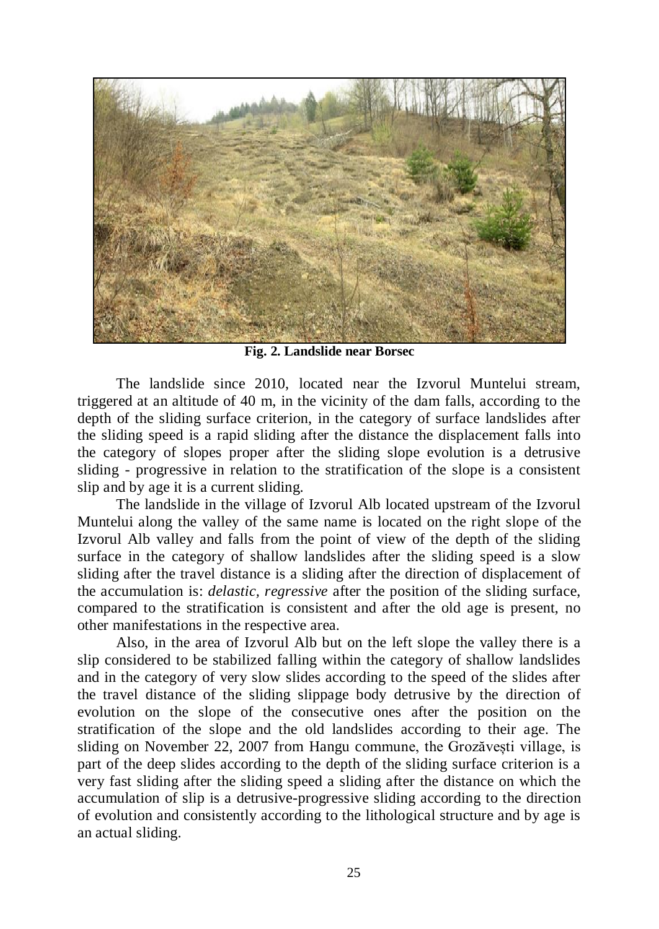

**Fig. 2. Landslide near Borsec**

The landslide since 2010, located near the Izvorul Muntelui stream, triggered at an altitude of 40 m, in the vicinity of the dam falls, according to the depth of the sliding surface criterion, in the category of surface landslides after the sliding speed is a rapid sliding after the distance the displacement falls into the category of slopes proper after the sliding slope evolution is a detrusive sliding - progressive in relation to the stratification of the slope is a consistent slip and by age it is a current sliding.

The landslide in the village of Izvorul Alb located upstream of the Izvorul Muntelui along the valley of the same name is located on the right slope of the Izvorul Alb valley and falls from the point of view of the depth of the sliding surface in the category of shallow landslides after the sliding speed is a slow sliding after the travel distance is a sliding after the direction of displacement of the accumulation is: *delastic, regressive* after the position of the sliding surface, compared to the stratification is consistent and after the old age is present, no other manifestations in the respective area.

Also, in the area of Izvorul Alb but on the left slope the valley there is a slip considered to be stabilized falling within the category of shallow landslides and in the category of very slow slides according to the speed of the slides after the travel distance of the sliding slippage body detrusive by the direction of evolution on the slope of the consecutive ones after the position on the stratification of the slope and the old landslides according to their age. The sliding on November 22, 2007 from Hangu commune, the Grozăvești village, is part of the deep slides according to the depth of the sliding surface criterion is a very fast sliding after the sliding speed a sliding after the distance on which the accumulation of slip is a detrusive-progressive sliding according to the direction of evolution and consistently according to the lithological structure and by age is an actual sliding.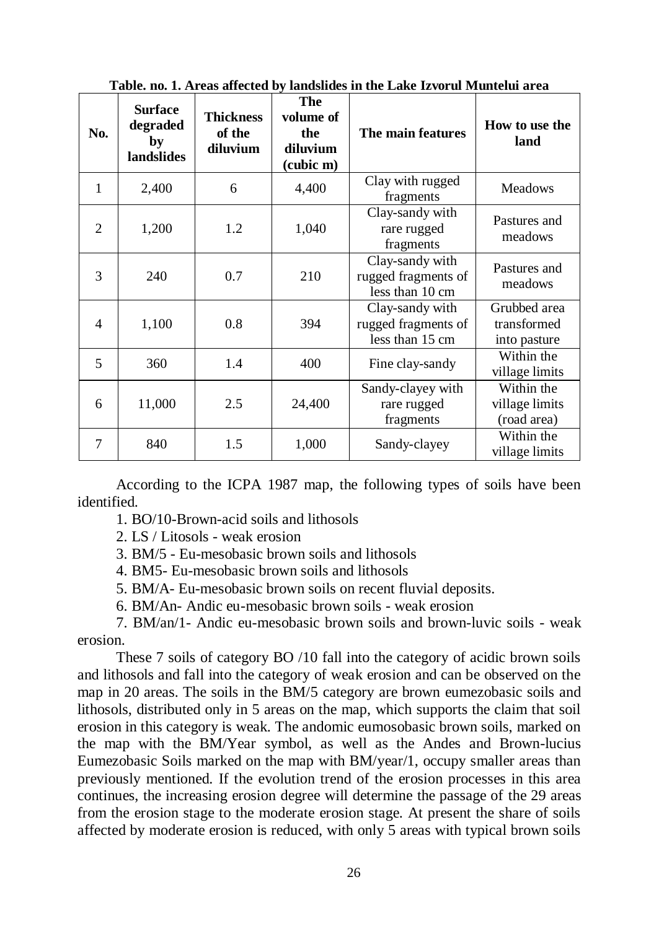| No.                      | <b>Surface</b><br>degraded<br>by<br>landslides | <b>Thickness</b><br>of the<br>diluvium | The<br>volume of<br>the<br>diluvium<br>(cubic m) | The main features                                         | How to use the<br>land                      |
|--------------------------|------------------------------------------------|----------------------------------------|--------------------------------------------------|-----------------------------------------------------------|---------------------------------------------|
| 1                        | 2,400                                          | 6                                      | 4,400                                            | Clay with rugged<br>fragments                             | <b>Meadows</b>                              |
| 2                        | 1,200                                          | 1.2                                    | 1,040                                            | Clay-sandy with<br>rare rugged<br>fragments               | Pastures and<br>meadows                     |
| 3                        | 240                                            | 0.7                                    | 210                                              | Clay-sandy with<br>rugged fragments of<br>less than 10 cm | Pastures and<br>meadows                     |
| $\overline{\mathcal{L}}$ | 1,100                                          | 0.8                                    | 394                                              | Clay-sandy with<br>rugged fragments of<br>less than 15 cm | Grubbed area<br>transformed<br>into pasture |
| 5                        | 360                                            | 1.4                                    | 400                                              | Fine clay-sandy                                           | Within the<br>village limits                |
| 6                        | 11,000                                         | 2.5                                    | 24,400                                           | Sandy-clayey with<br>rare rugged<br>fragments             | Within the<br>village limits<br>(road area) |
| 7                        | 840                                            | 1.5                                    | 1,000                                            | Sandy-clayey                                              | Within the<br>village limits                |

**Table. no. 1. Areas affected by landslides in the Lake Izvorul Muntelui area**

According to the ICPA 1987 map, the following types of soils have been identified.

- 1. BO/10-Brown-acid soils and lithosols
- 2. LS / Litosols weak erosion
- 3. BM/5 Eu-mesobasic brown soils and lithosols
- 4. BM5- Eu-mesobasic brown soils and lithosols
- 5. BM/A- Eu-mesobasic brown soils on recent fluvial deposits.
- 6. BM/An- Andic eu-mesobasic brown soils weak erosion

7. BM/an/1- Andic eu-mesobasic brown soils and brown-luvic soils - weak erosion.

These 7 soils of category BO /10 fall into the category of acidic brown soils and lithosols and fall into the category of weak erosion and can be observed on the map in 20 areas. The soils in the BM/5 category are brown eumezobasic soils and lithosols, distributed only in 5 areas on the map, which supports the claim that soil erosion in this category is weak. The andomic eumosobasic brown soils, marked on the map with the BM/Year symbol, as well as the Andes and Brown-lucius Eumezobasic Soils marked on the map with BM/year/1, occupy smaller areas than previously mentioned. If the evolution trend of the erosion processes in this area continues, the increasing erosion degree will determine the passage of the 29 areas from the erosion stage to the moderate erosion stage. At present the share of soils affected by moderate erosion is reduced, with only 5 areas with typical brown soils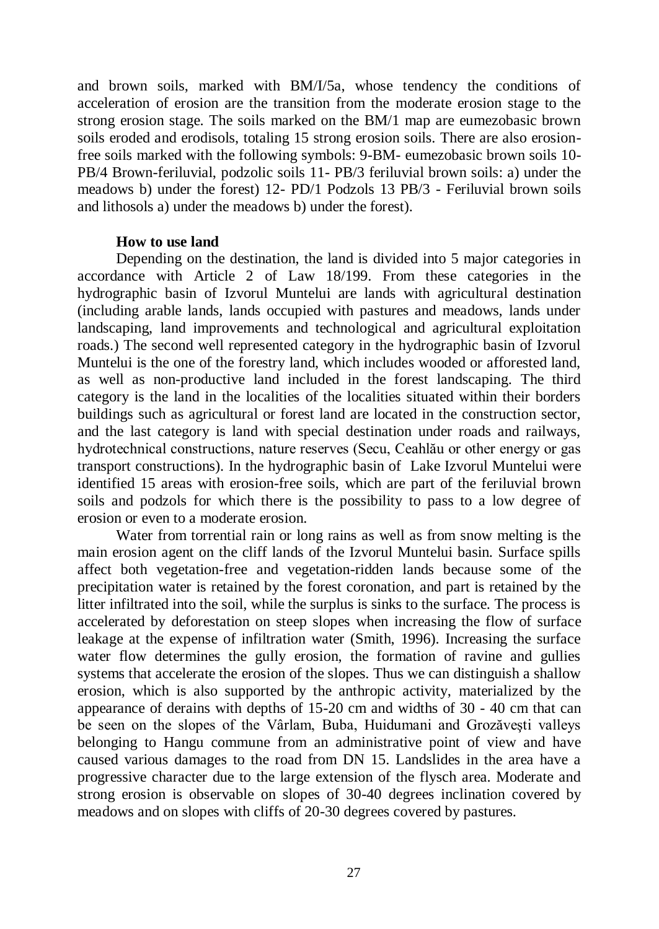and brown soils, marked with BM/I/5a, whose tendency the conditions of acceleration of erosion are the transition from the moderate erosion stage to the strong erosion stage. The soils marked on the BM/1 map are eumezobasic brown soils eroded and erodisols, totaling 15 strong erosion soils. There are also erosionfree soils marked with the following symbols: 9-BM- eumezobasic brown soils 10- PB/4 Brown-feriluvial, podzolic soils 11- PB/3 feriluvial brown soils: a) under the meadows b) under the forest) 12- PD/1 Podzols 13 PB/3 - Feriluvial brown soils and lithosols a) under the meadows b) under the forest).

# **How to use land**

Depending on the destination, the land is divided into 5 major categories in accordance with Article 2 of Law 18/199. From these categories in the hydrographic basin of Izvorul Muntelui are lands with agricultural destination (including arable lands, lands occupied with pastures and meadows, lands under landscaping, land improvements and technological and agricultural exploitation roads.) The second well represented category in the hydrographic basin of Izvorul Muntelui is the one of the forestry land, which includes wooded or afforested land, as well as non-productive land included in the forest landscaping. The third category is the land in the localities of the localities situated within their borders buildings such as agricultural or forest land are located in the construction sector, and the last category is land with special destination under roads and railways, hydrotechnical constructions, nature reserves (Secu, Ceahlău or other energy or gas transport constructions). In the hydrographic basin of Lake Izvorul Muntelui were identified 15 areas with erosion-free soils, which are part of the feriluvial brown soils and podzols for which there is the possibility to pass to a low degree of erosion or even to a moderate erosion.

Water from torrential rain or long rains as well as from snow melting is the main erosion agent on the cliff lands of the Izvorul Muntelui basin. Surface spills affect both vegetation-free and vegetation-ridden lands because some of the precipitation water is retained by the forest coronation, and part is retained by the litter infiltrated into the soil, while the surplus is sinks to the surface. The process is accelerated by deforestation on steep slopes when increasing the flow of surface leakage at the expense of infiltration water (Smith, 1996). Increasing the surface water flow determines the gully erosion, the formation of ravine and gullies systems that accelerate the erosion of the slopes. Thus we can distinguish a shallow erosion, which is also supported by the anthropic activity, materialized by the appearance of derains with depths of 15-20 cm and widths of 30 - 40 cm that can be seen on the slopes of the Vârlam, Buba, Huidumani and Grozăveşti valleys belonging to Hangu commune from an administrative point of view and have caused various damages to the road from DN 15. Landslides in the area have a progressive character due to the large extension of the flysch area. Moderate and strong erosion is observable on slopes of 30-40 degrees inclination covered by meadows and on slopes with cliffs of 20-30 degrees covered by pastures.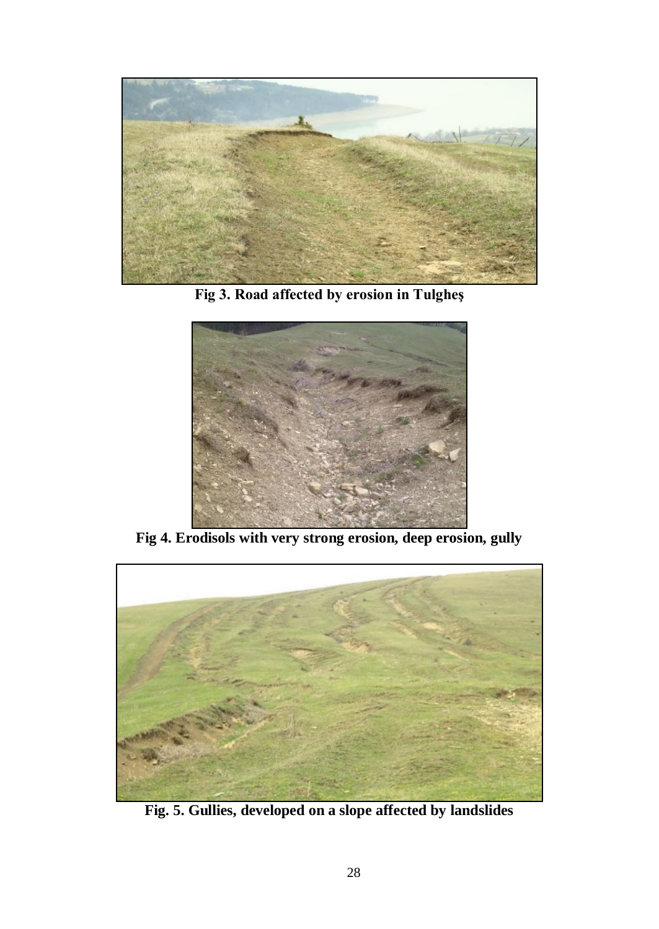

**Fig 3. Road affected by erosion in Tulgheş**



**Fig 4. Erodisols with very strong erosion, deep erosion, gully**



**Fig. 5. Gullies, developed on a slope affected by landslides**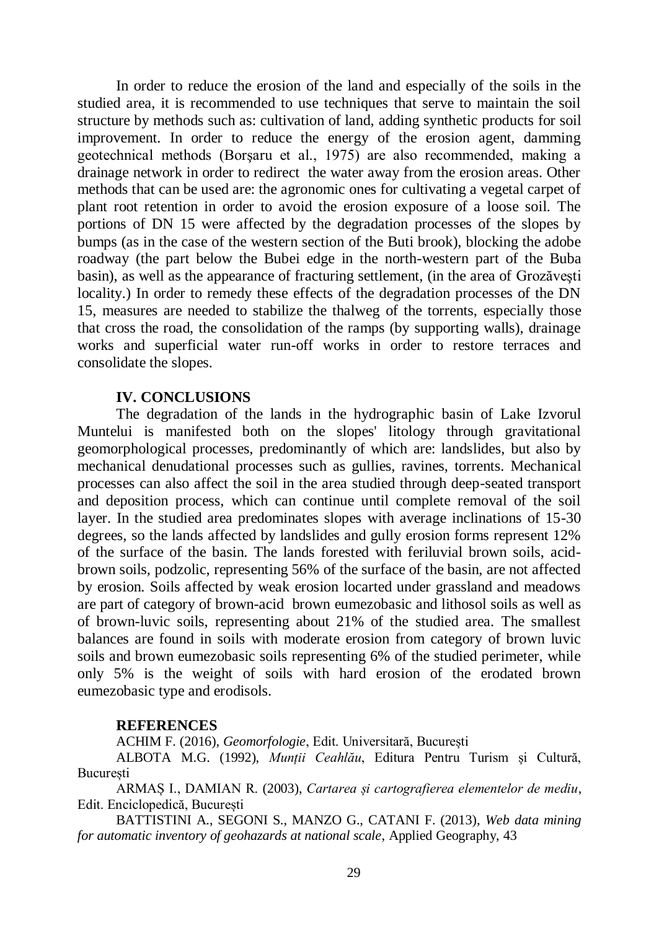In order to reduce the erosion of the land and especially of the soils in the studied area, it is recommended to use techniques that serve to maintain the soil structure by methods such as: cultivation of land, adding synthetic products for soil improvement. In order to reduce the energy of the erosion agent, damming geotechnical methods (Borşaru et al., 1975) are also recommended, making a drainage network in order to redirect the water away from the erosion areas. Other methods that can be used are: the agronomic ones for cultivating a vegetal carpet of plant root retention in order to avoid the erosion exposure of a loose soil. The portions of DN 15 were affected by the degradation processes of the slopes by bumps (as in the case of the western section of the Buti brook), blocking the adobe roadway (the part below the Bubei edge in the north-western part of the Buba basin), as well as the appearance of fracturing settlement, (in the area of Grozăveşti locality.) In order to remedy these effects of the degradation processes of the DN 15, measures are needed to stabilize the thalweg of the torrents, especially those that cross the road, the consolidation of the ramps (by supporting walls), drainage works and superficial water run-off works in order to restore terraces and consolidate the slopes.

# **IV. CONCLUSIONS**

The degradation of the lands in the hydrographic basin of Lake Izvorul Muntelui is manifested both on the slopes' litology through gravitational geomorphological processes, predominantly of which are: landslides, but also by mechanical denudational processes such as gullies, ravines, torrents. Mechanical processes can also affect the soil in the area studied through deep-seated transport and deposition process, which can continue until complete removal of the soil layer. In the studied area predominates slopes with average inclinations of 15-30 degrees, so the lands affected by landslides and gully erosion forms represent 12% of the surface of the basin. The lands forested with feriluvial brown soils, acidbrown soils, podzolic, representing 56% of the surface of the basin, are not affected by erosion. Soils affected by weak erosion locarted under grassland and meadows are part of category of brown-acid brown eumezobasic and lithosol soils as well as of brown-luvic soils, representing about 21% of the studied area. The smallest balances are found in soils with moderate erosion from category of brown luvic soils and brown eumezobasic soils representing 6% of the studied perimeter, while only 5% is the weight of soils with hard erosion of the erodated brown eumezobasic type and erodisols.

# **REFERENCES**

ACHIM F. (2016), *Geomorfologie*, Edit. Universitară, București

ALBOTA M.G. (1992), *Munții Ceahlău*, Editura Pentru Turism și Cultură, București

ARMAȘ I., DAMIAN R. (2003), *Cartarea și cartografierea elementelor de mediu*, Edit. Enciclopedică, București

BATTISTINI A., SEGONI S., MANZO G., CATANI F. (2013), *Web data mining for automatic inventory of geohazards at national scale*, Applied Geography, 43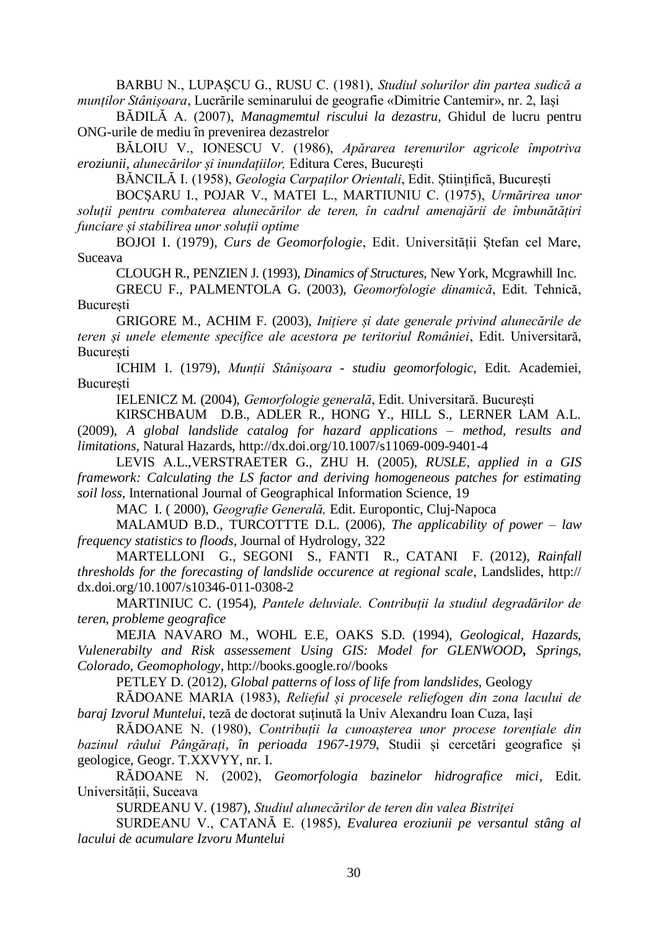BARBU N., LUPAȘCU G., RUSU C. (1981), *Studiul solurilor din partea sudică a munților Stânișoara*, Lucrările seminarului de geografie «Dimitrie Cantemir», nr. 2, Iași

BĂDILĂ A. (2007), *Managmemtul riscului la dezastru,* Ghidul de lucru pentru ONG-urile de mediu în prevenirea dezastrelor

BĂLOIU V., IONESCU V. (1986), *Apărarea terenurilor agricole împotriva eroziunii, alunecărilor și inundațiilor,* Editura Ceres, București

BĂNCILĂ I. (1958), *Geologia Carpaților Orientali*, Edit. Științifică, București

BOCȘARU I., POJAR V., MATEI L., MARTIUNIU C. (1975), *Urmărirea unor soluții pentru combaterea alunecărilor de teren, în cadrul amenajării de îmbunătățiri funciare și stabilirea unor soluții optime* 

BOJOI I. (1979), *Curs de Geomorfologie*, Edit. Universității Ștefan cel Mare, Suceava

CLOUGH R., PENZIEN J. (1993), *Dinamics of Structures*, New York, Mcgrawhill Inc.

GRECU F., PALMENTOLA G. (2003), *Geomorfologie dinamică*, Edit. Tehnică, București

GRIGORE M., ACHIM F. (2003), *Inițiere și date generale privind alunecările de teren și unele elemente specifice ale acestora pe teritoriul României*, Edit. Universitară, București

ICHIM I. (1979), *Munții Stânișoara - studiu geomorfologic*, Edit. Academiei, București

IELENICZ M. (2004), *Gemorfologie generală*, Edit. Universitară. București

KIRSCHBAUM D.B., ADLER R., HONG Y., HILL S., LERNER LAM A.L. (2009), *A global landslide catalog for hazard applications – method, results and limitations,* Natural Hazards[, http://dx.doi.org/10.1007/s11069-009-9401-4](http://dx.doi.org/10.1007/s11069-009-9401-4)

LEVIS A.L.,VERSTRAETER G., ZHU H. (2005), *RUSLE, applied in a GIS framework: Calculating the LS factor and deriving homogeneous patches for estimating soil loss,* International Journal of Geographical Information Science, 19

MAC I. ( 2000), *Geografie Generală,* Edit. Europontic, Cluj-Napoca

MALAMUD B.D., TURCOTTTE D.L. (2006), *The applicability of power – law frequency statistics to floods*, Journal of Hydrology, 322

MARTELLONI G., SEGONI S., FANTI R., CATANI F. (2012), *Rainfall thresholds for the forecasting of landslide occurence at regional scale*, Landslides, http:// dx.doi.org/10.1007/s10346-011-0308-2

MARTINIUC C. (1954), *Pantele deluviale. Contribuții la studiul degradărilor de teren*, *probleme geografice*

MEJIA NAVARO M., WOHL E.E, OAKS S.D. (1994), *Geological, Hazards, Vulenerabilty and Risk assessement Using GIS: Model for GLENWOOD, Springs, Colorado, Geomophology*, [http://books.google.ro//books](http://books.google.ro/books)

PETLEY D. (2012), *Global patterns of loss of life from landslides*, Geology

RĂDOANE MARIA (1983), *Relieful și procesele reliefogen din zona lacului de baraj Izvorul Muntelui*, teză de doctorat suținută la Univ Alexandru Ioan Cuza, Iași

RĂDOANE N. (1980), *Contribuții la cunoașterea unor procese torențiale din bazinul râului Pângărați, în perioada 1967-1979*, Studii și cercetări geografice și geologice, Geogr. T.XXVYY, nr. I.

RĂDOANE N. (2002), *Geomorfologia bazinelor hidrografice mici*, Edit. Universității, Suceava

SURDEANU V. (1987), *Studiul alunecărilor de teren din valea Bistriței*

SURDEANU V., CATANĂ E. (1985), *Evalurea eroziunii pe versantul stâng al lacului de acumulare Izvoru Muntelui*